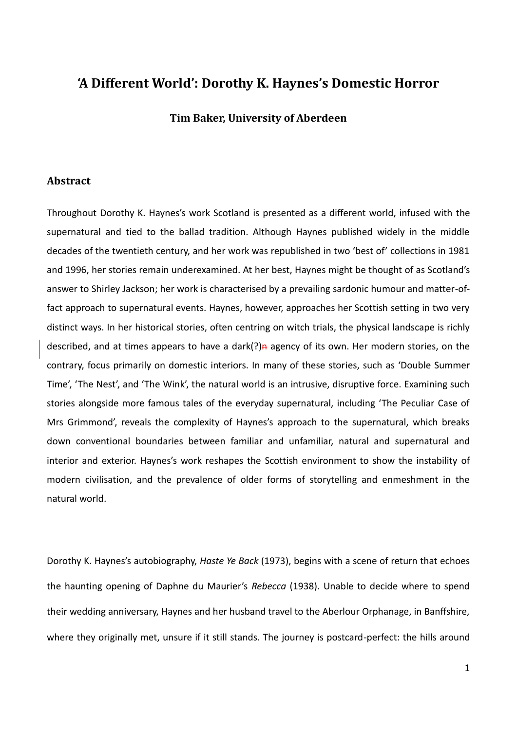## **'A Different World': Dorothy K. Haynes's Domestic Horror**

**Tim Baker, University of Aberdeen**

## **Abstract**

Throughout Dorothy K. Haynes's work Scotland is presented as a different world, infused with the supernatural and tied to the ballad tradition. Although Haynes published widely in the middle decades of the twentieth century, and her work was republished in two 'best of' collections in 1981 and 1996, her stories remain underexamined. At her best, Haynes might be thought of as Scotland's answer to Shirley Jackson; her work is characterised by a prevailing sardonic humour and matter-offact approach to supernatural events. Haynes, however, approaches her Scottish setting in two very distinct ways. In her historical stories, often centring on witch trials, the physical landscape is richly described, and at times appears to have a dark(?) $\hat{p}$  agency of its own. Her modern stories, on the contrary, focus primarily on domestic interiors. In many of these stories, such as 'Double Summer Time', 'The Nest', and 'The Wink', the natural world is an intrusive, disruptive force. Examining such stories alongside more famous tales of the everyday supernatural, including 'The Peculiar Case of Mrs Grimmond', reveals the complexity of Haynes's approach to the supernatural, which breaks down conventional boundaries between familiar and unfamiliar, natural and supernatural and interior and exterior. Haynes's work reshapes the Scottish environment to show the instability of modern civilisation, and the prevalence of older forms of storytelling and enmeshment in the natural world.

Dorothy K. Haynes's autobiography, *Haste Ye Back* (1973), begins with a scene of return that echoes the haunting opening of Daphne du Maurier's *Rebecca* (1938). Unable to decide where to spend their wedding anniversary, Haynes and her husband travel to the Aberlour Orphanage, in Banffshire, where they originally met, unsure if it still stands. The journey is postcard-perfect: the hills around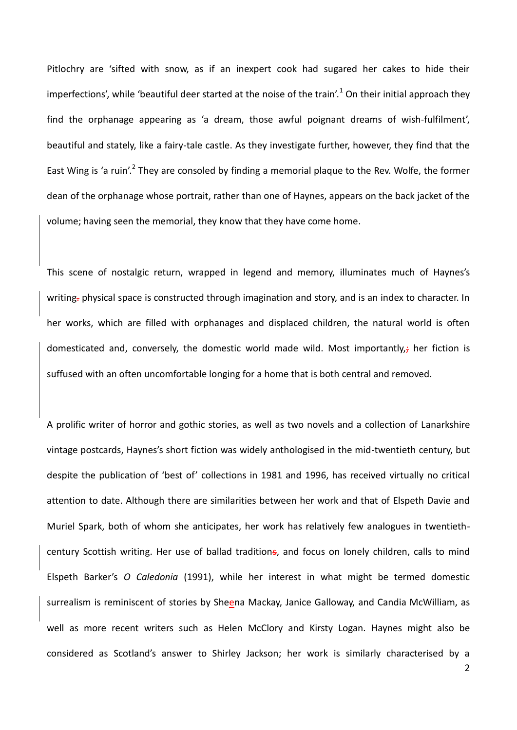Pitlochry are 'sifted with snow, as if an inexpert cook had sugared her cakes to hide their imperfections', while 'beautiful deer started at the noise of the train'.<sup>1</sup> On their initial approach they find the orphanage appearing as 'a dream, those awful poignant dreams of wish-fulfilment', beautiful and stately, like a fairy-tale castle. As they investigate further, however, they find that the East Wing is 'a ruin'.<sup>2</sup> They are consoled by finding a memorial plaque to the Rev. Wolfe, the former dean of the orphanage whose portrait, rather than one of Haynes, appears on the back jacket of the volume; having seen the memorial, they know that they have come home.

This scene of nostalgic return, wrapped in legend and memory, illuminates much of Haynes's writing-physical space is constructed through imagination and story, and is an index to character. In her works, which are filled with orphanages and displaced children, the natural world is often domesticated and, conversely, the domestic world made wild. Most importantly, $\frac{1}{r}$  her fiction is suffused with an often uncomfortable longing for a home that is both central and removed.

A prolific writer of horror and gothic stories, as well as two novels and a collection of Lanarkshire vintage postcards, Haynes's short fiction was widely anthologised in the mid-twentieth century, but despite the publication of 'best of' collections in 1981 and 1996, has received virtually no critical attention to date. Although there are similarities between her work and that of Elspeth Davie and Muriel Spark, both of whom she anticipates, her work has relatively few analogues in twentiethcentury Scottish writing. Her use of ballad traditions, and focus on lonely children, calls to mind Elspeth Barker's *O Caledonia* (1991), while her interest in what might be termed domestic surrealism is reminiscent of stories by Sheena Mackay, Janice Galloway, and Candia McWilliam, as well as more recent writers such as Helen McClory and Kirsty Logan. Haynes might also be considered as Scotland's answer to Shirley Jackson; her work is similarly characterised by a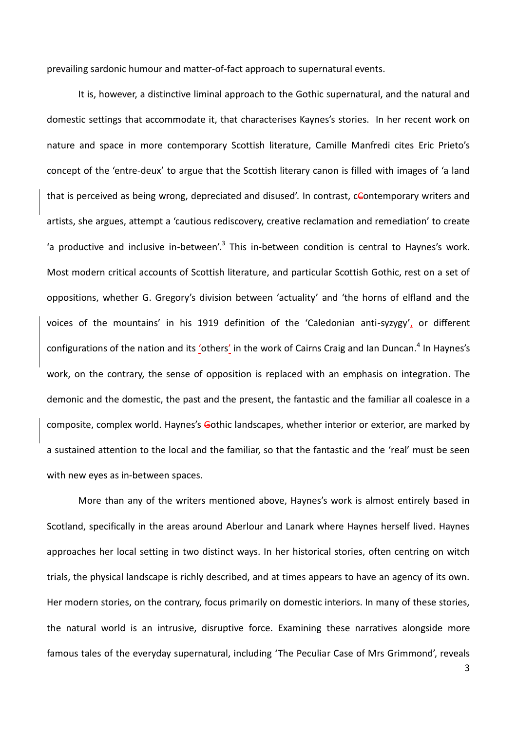prevailing sardonic humour and matter-of-fact approach to supernatural events.

It is, however, a distinctive liminal approach to the Gothic supernatural, and the natural and domestic settings that accommodate it, that characterises Kaynes's stories. In her recent work on nature and space in more contemporary Scottish literature, Camille Manfredi cites Eric Prieto's concept of the 'entre-deux' to argue that the Scottish literary canon is filled with images of 'a land that is perceived as being wrong, depreciated and disused'. In contrast, cContemporary writers and artists, she argues, attempt a 'cautious rediscovery, creative reclamation and remediation' to create 'a productive and inclusive in-between'.<sup>3</sup> This in-between condition is central to Haynes's work. Most modern critical accounts of Scottish literature, and particular Scottish Gothic, rest on a set of oppositions, whether G. Gregory's division between 'actuality' and 'the horns of elfland and the voices of the mountains' in his 1919 definition of the 'Caledonian anti-syzygy', or different configurations of the nation and its 'others' in the work of Cairns Craig and Ian Duncan.<sup>4</sup> In Haynes's work, on the contrary, the sense of opposition is replaced with an emphasis on integration. The demonic and the domestic, the past and the present, the fantastic and the familiar all coalesce in a composite, complex world. Haynes's Gothic landscapes, whether interior or exterior, are marked by a sustained attention to the local and the familiar, so that the fantastic and the 'real' must be seen with new eyes as in-between spaces.

More than any of the writers mentioned above, Haynes's work is almost entirely based in Scotland, specifically in the areas around Aberlour and Lanark where Haynes herself lived. Haynes approaches her local setting in two distinct ways. In her historical stories, often centring on witch trials, the physical landscape is richly described, and at times appears to have an agency of its own. Her modern stories, on the contrary, focus primarily on domestic interiors. In many of these stories, the natural world is an intrusive, disruptive force. Examining these narratives alongside more famous tales of the everyday supernatural, including 'The Peculiar Case of Mrs Grimmond', reveals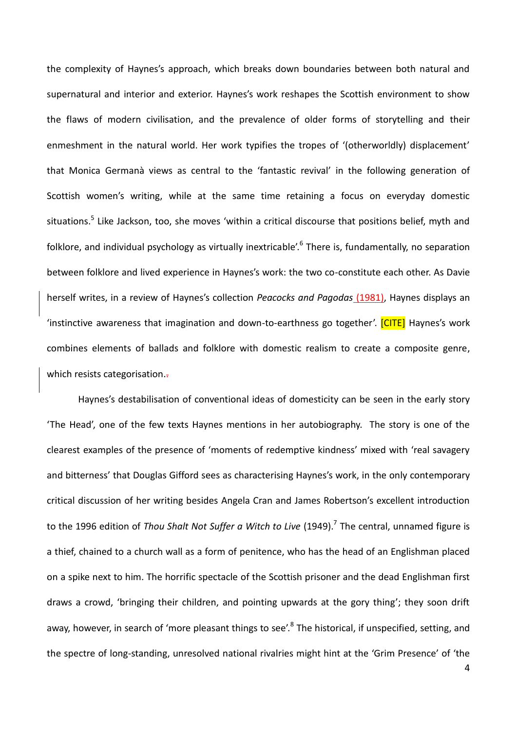the complexity of Haynes's approach, which breaks down boundaries between both natural and supernatural and interior and exterior. Haynes's work reshapes the Scottish environment to show the flaws of modern civilisation, and the prevalence of older forms of storytelling and their enmeshment in the natural world. Her work typifies the tropes of '(otherworldly) displacement' that Monica Germanà views as central to the 'fantastic revival' in the following generation of Scottish women's writing, while at the same time retaining a focus on everyday domestic situations.<sup>5</sup> Like Jackson, too, she moves 'within a critical discourse that positions belief, myth and folklore, and individual psychology as virtually inextricable'.<sup>6</sup> There is, fundamentally, no separation between folklore and lived experience in Haynes's work: the two co-constitute each other. As Davie herself writes, in a review of Haynes's collection *Peacocks and Pagodas* (1981), Haynes displays an 'instinctive awareness that imagination and down-to-earthness go together'. [CITE] Haynes's work combines elements of ballads and folklore with domestic realism to create a composite genre, which resists categorisation.

Haynes's destabilisation of conventional ideas of domesticity can be seen in the early story 'The Head', one of the few texts Haynes mentions in her autobiography. The story is one of the clearest examples of the presence of 'moments of redemptive kindness' mixed with 'real savagery and bitterness' that Douglas Gifford sees as characterising Haynes's work, in the only contemporary critical discussion of her writing besides Angela Cran and James Robertson's excellent introduction to the 1996 edition of *Thou Shalt Not Suffer a Witch to Live* (1949). 7 The central, unnamed figure is a thief, chained to a church wall as a form of penitence, who has the head of an Englishman placed on a spike next to him. The horrific spectacle of the Scottish prisoner and the dead Englishman first draws a crowd, 'bringing their children, and pointing upwards at the gory thing'; they soon drift away, however, in search of 'more pleasant things to see'.<sup>8</sup> The historical, if unspecified, setting, and the spectre of long-standing, unresolved national rivalries might hint at the 'Grim Presence' of 'the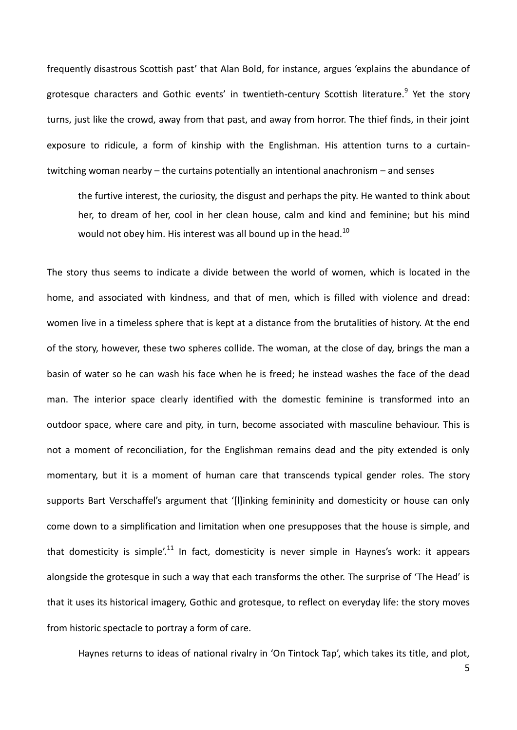frequently disastrous Scottish past' that Alan Bold, for instance, argues 'explains the abundance of grotesque characters and Gothic events' in twentieth-century Scottish literature.<sup>9</sup> Yet the story turns, just like the crowd, away from that past, and away from horror. The thief finds, in their joint exposure to ridicule, a form of kinship with the Englishman. His attention turns to a curtaintwitching woman nearby – the curtains potentially an intentional anachronism – and senses

the furtive interest, the curiosity, the disgust and perhaps the pity. He wanted to think about her, to dream of her, cool in her clean house, calm and kind and feminine; but his mind would not obey him. His interest was all bound up in the head.<sup>10</sup>

The story thus seems to indicate a divide between the world of women, which is located in the home, and associated with kindness, and that of men, which is filled with violence and dread: women live in a timeless sphere that is kept at a distance from the brutalities of history. At the end of the story, however, these two spheres collide. The woman, at the close of day, brings the man a basin of water so he can wash his face when he is freed; he instead washes the face of the dead man. The interior space clearly identified with the domestic feminine is transformed into an outdoor space, where care and pity, in turn, become associated with masculine behaviour. This is not a moment of reconciliation, for the Englishman remains dead and the pity extended is only momentary, but it is a moment of human care that transcends typical gender roles. The story supports Bart Verschaffel's argument that '[l]inking femininity and domesticity or house can only come down to a simplification and limitation when one presupposes that the house is simple, and that domesticity is simple'.<sup>11</sup> In fact, domesticity is never simple in Haynes's work: it appears alongside the grotesque in such a way that each transforms the other. The surprise of 'The Head' is that it uses its historical imagery, Gothic and grotesque, to reflect on everyday life: the story moves from historic spectacle to portray a form of care.

Haynes returns to ideas of national rivalry in 'On Tintock Tap', which takes its title, and plot,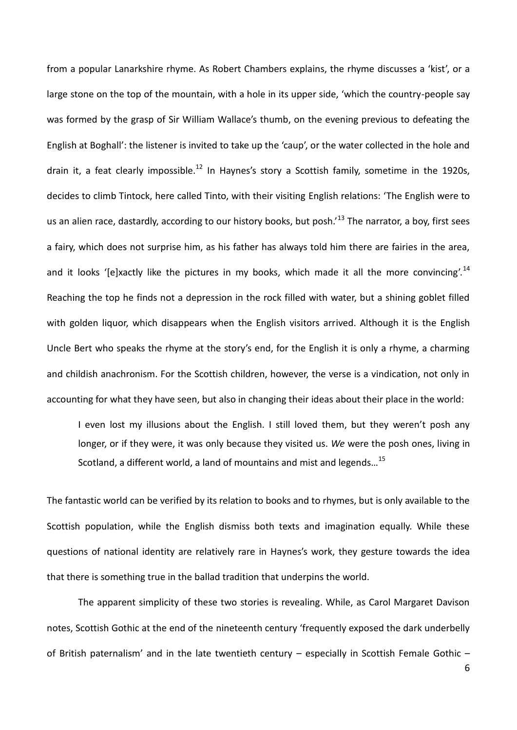from a popular Lanarkshire rhyme. As Robert Chambers explains, the rhyme discusses a 'kist', or a large stone on the top of the mountain, with a hole in its upper side, 'which the country-people say was formed by the grasp of Sir William Wallace's thumb, on the evening previous to defeating the English at Boghall': the listener is invited to take up the 'caup', or the water collected in the hole and drain it, a feat clearly impossible.<sup>12</sup> In Haynes's story a Scottish family, sometime in the 1920s, decides to climb Tintock, here called Tinto, with their visiting English relations: 'The English were to us an alien race, dastardly, according to our history books, but posh.<sup>13</sup> The narrator, a boy, first sees a fairy, which does not surprise him, as his father has always told him there are fairies in the area, and it looks '[e]xactly like the pictures in my books, which made it all the more convincing'.<sup>14</sup> Reaching the top he finds not a depression in the rock filled with water, but a shining goblet filled with golden liquor, which disappears when the English visitors arrived. Although it is the English Uncle Bert who speaks the rhyme at the story's end, for the English it is only a rhyme, a charming and childish anachronism. For the Scottish children, however, the verse is a vindication, not only in accounting for what they have seen, but also in changing their ideas about their place in the world:

I even lost my illusions about the English. I still loved them, but they weren't posh any longer, or if they were, it was only because they visited us. *We* were the posh ones, living in Scotland, a different world, a land of mountains and mist and legends...<sup>15</sup>

The fantastic world can be verified by its relation to books and to rhymes, but is only available to the Scottish population, while the English dismiss both texts and imagination equally. While these questions of national identity are relatively rare in Haynes's work, they gesture towards the idea that there is something true in the ballad tradition that underpins the world.

The apparent simplicity of these two stories is revealing. While, as Carol Margaret Davison notes, Scottish Gothic at the end of the nineteenth century 'frequently exposed the dark underbelly of British paternalism' and in the late twentieth century – especially in Scottish Female Gothic –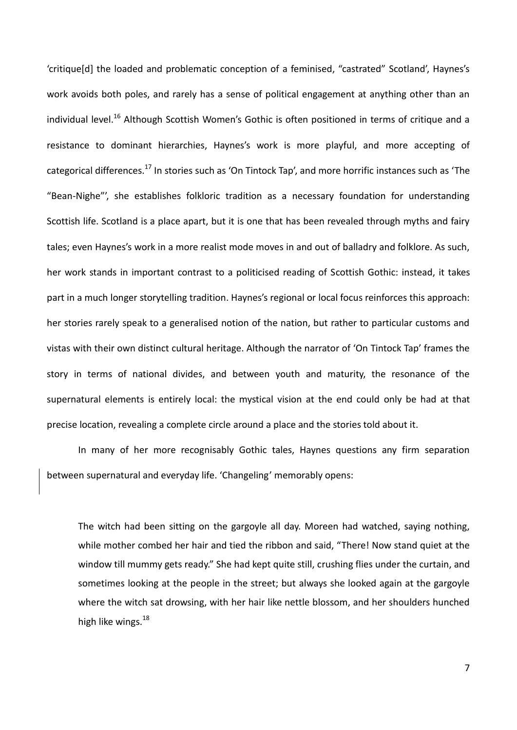'critique[d] the loaded and problematic conception of a feminised, "castrated" Scotland', Haynes's work avoids both poles, and rarely has a sense of political engagement at anything other than an individual level.<sup>16</sup> Although Scottish Women's Gothic is often positioned in terms of critique and a resistance to dominant hierarchies, Haynes's work is more playful, and more accepting of categorical differences.<sup>17</sup> In stories such as 'On Tintock Tap', and more horrific instances such as 'The "Bean-Nighe"', she establishes folkloric tradition as a necessary foundation for understanding Scottish life. Scotland is a place apart, but it is one that has been revealed through myths and fairy tales; even Haynes's work in a more realist mode moves in and out of balladry and folklore. As such, her work stands in important contrast to a politicised reading of Scottish Gothic: instead, it takes part in a much longer storytelling tradition. Haynes's regional or local focus reinforces this approach: her stories rarely speak to a generalised notion of the nation, but rather to particular customs and vistas with their own distinct cultural heritage. Although the narrator of 'On Tintock Tap' frames the story in terms of national divides, and between youth and maturity, the resonance of the supernatural elements is entirely local: the mystical vision at the end could only be had at that precise location, revealing a complete circle around a place and the stories told about it.

In many of her more recognisably Gothic tales, Haynes questions any firm separation between supernatural and everyday life. 'Changeling' memorably opens:

The witch had been sitting on the gargoyle all day. Moreen had watched, saying nothing, while mother combed her hair and tied the ribbon and said, "There! Now stand quiet at the window till mummy gets ready." She had kept quite still, crushing flies under the curtain, and sometimes looking at the people in the street; but always she looked again at the gargoyle where the witch sat drowsing, with her hair like nettle blossom, and her shoulders hunched high like wings.<sup>18</sup>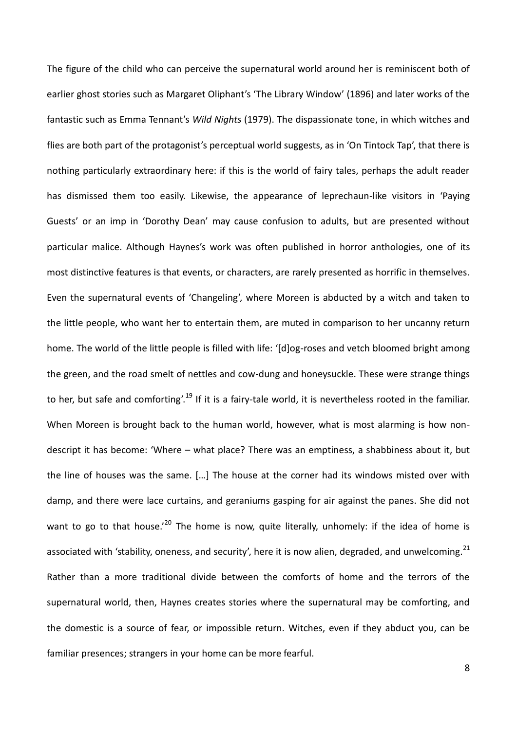The figure of the child who can perceive the supernatural world around her is reminiscent both of earlier ghost stories such as Margaret Oliphant's 'The Library Window' (1896) and later works of the fantastic such as Emma Tennant's *Wild Nights* (1979). The dispassionate tone, in which witches and flies are both part of the protagonist's perceptual world suggests, as in 'On Tintock Tap', that there is nothing particularly extraordinary here: if this is the world of fairy tales, perhaps the adult reader has dismissed them too easily. Likewise, the appearance of leprechaun-like visitors in 'Paying Guests' or an imp in 'Dorothy Dean' may cause confusion to adults, but are presented without particular malice. Although Haynes's work was often published in horror anthologies, one of its most distinctive features is that events, or characters, are rarely presented as horrific in themselves. Even the supernatural events of 'Changeling', where Moreen is abducted by a witch and taken to the little people, who want her to entertain them, are muted in comparison to her uncanny return home. The world of the little people is filled with life: '[d]og-roses and vetch bloomed bright among the green, and the road smelt of nettles and cow-dung and honeysuckle. These were strange things to her, but safe and comforting'.<sup>19</sup> If it is a fairy-tale world, it is nevertheless rooted in the familiar. When Moreen is brought back to the human world, however, what is most alarming is how nondescript it has become: 'Where – what place? There was an emptiness, a shabbiness about it, but the line of houses was the same. […] The house at the corner had its windows misted over with damp, and there were lace curtains, and geraniums gasping for air against the panes. She did not want to go to that house.<sup>'20</sup> The home is now, quite literally, unhomely: if the idea of home is associated with 'stability, oneness, and security', here it is now alien, degraded, and unwelcoming.<sup>21</sup> Rather than a more traditional divide between the comforts of home and the terrors of the supernatural world, then, Haynes creates stories where the supernatural may be comforting, and the domestic is a source of fear, or impossible return. Witches, even if they abduct you, can be familiar presences; strangers in your home can be more fearful.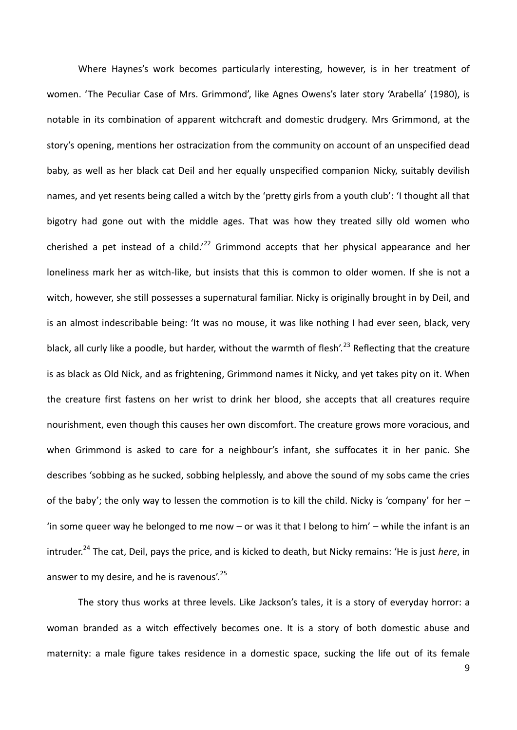Where Haynes's work becomes particularly interesting, however, is in her treatment of women. 'The Peculiar Case of Mrs. Grimmond', like Agnes Owens's later story 'Arabella' (1980), is notable in its combination of apparent witchcraft and domestic drudgery. Mrs Grimmond, at the story's opening, mentions her ostracization from the community on account of an unspecified dead baby, as well as her black cat Deil and her equally unspecified companion Nicky, suitably devilish names, and yet resents being called a witch by the 'pretty girls from a youth club': 'I thought all that bigotry had gone out with the middle ages. That was how they treated silly old women who cherished a pet instead of a child.<sup>22</sup> Grimmond accepts that her physical appearance and her loneliness mark her as witch-like, but insists that this is common to older women. If she is not a witch, however, she still possesses a supernatural familiar. Nicky is originally brought in by Deil, and is an almost indescribable being: 'It was no mouse, it was like nothing I had ever seen, black, very black, all curly like a poodle, but harder, without the warmth of flesh'.<sup>23</sup> Reflecting that the creature is as black as Old Nick, and as frightening, Grimmond names it Nicky, and yet takes pity on it. When the creature first fastens on her wrist to drink her blood, she accepts that all creatures require nourishment, even though this causes her own discomfort. The creature grows more voracious, and when Grimmond is asked to care for a neighbour's infant, she suffocates it in her panic. She describes 'sobbing as he sucked, sobbing helplessly, and above the sound of my sobs came the cries of the baby'; the only way to lessen the commotion is to kill the child. Nicky is 'company' for her  $-$ 'in some queer way he belonged to me now  $-$  or was it that I belong to him'  $-$  while the infant is an intruder.<sup>24</sup> The cat, Deil, pays the price, and is kicked to death, but Nicky remains: 'He is just *here*, in answer to my desire, and he is ravenous'.<sup>25</sup>

The story thus works at three levels. Like Jackson's tales, it is a story of everyday horror: a woman branded as a witch effectively becomes one. It is a story of both domestic abuse and maternity: a male figure takes residence in a domestic space, sucking the life out of its female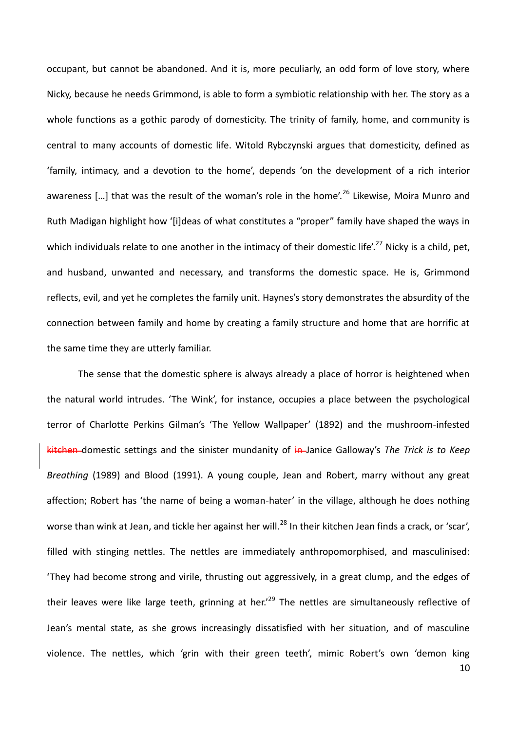occupant, but cannot be abandoned. And it is, more peculiarly, an odd form of love story, where Nicky, because he needs Grimmond, is able to form a symbiotic relationship with her. The story as a whole functions as a gothic parody of domesticity. The trinity of family, home, and community is central to many accounts of domestic life. Witold Rybczynski argues that domesticity, defined as 'family, intimacy, and a devotion to the home', depends 'on the development of a rich interior awareness [...] that was the result of the woman's role in the home'.<sup>26</sup> Likewise, Moira Munro and Ruth Madigan highlight how '[i]deas of what constitutes a "proper" family have shaped the ways in which individuals relate to one another in the intimacy of their domestic life'.<sup>27</sup> Nicky is a child, pet, and husband, unwanted and necessary, and transforms the domestic space. He is, Grimmond reflects, evil, and yet he completes the family unit. Haynes's story demonstrates the absurdity of the connection between family and home by creating a family structure and home that are horrific at the same time they are utterly familiar.

The sense that the domestic sphere is always already a place of horror is heightened when the natural world intrudes. 'The Wink', for instance, occupies a place between the psychological terror of Charlotte Perkins Gilman's 'The Yellow Wallpaper' (1892) and the mushroom-infested kitchen domestic settings and the sinister mundanity of in Janice Galloway's The Trick is to Keep *Breathing* (1989) and Blood (1991). A young couple, Jean and Robert, marry without any great affection; Robert has 'the name of being a woman-hater' in the village, although he does nothing worse than wink at Jean, and tickle her against her will.<sup>28</sup> In their kitchen Jean finds a crack, or 'scar', filled with stinging nettles. The nettles are immediately anthropomorphised, and masculinised: 'They had become strong and virile, thrusting out aggressively, in a great clump, and the edges of their leaves were like large teeth, grinning at her.<sup>29</sup> The nettles are simultaneously reflective of Jean's mental state, as she grows increasingly dissatisfied with her situation, and of masculine violence. The nettles, which 'grin with their green teeth', mimic Robert's own 'demon king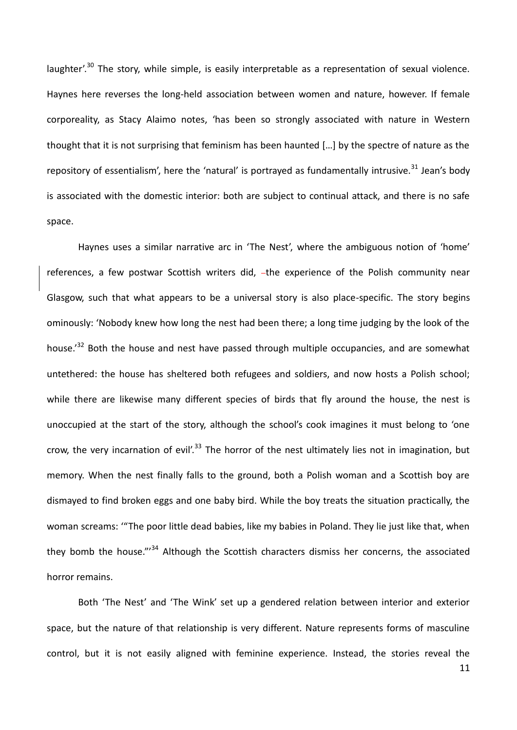laughter'.<sup>30</sup> The story, while simple, is easily interpretable as a representation of sexual violence. Haynes here reverses the long-held association between women and nature, however. If female corporeality, as Stacy Alaimo notes, 'has been so strongly associated with nature in Western thought that it is not surprising that feminism has been haunted […] by the spectre of nature as the repository of essentialism', here the 'natural' is portrayed as fundamentally intrusive.<sup>31</sup> Jean's body is associated with the domestic interior: both are subject to continual attack, and there is no safe space.

Haynes uses a similar narrative arc in 'The Nest', where the ambiguous notion of 'home' references, a few postwar Scottish writers did, -the experience of the Polish community near Glasgow, such that what appears to be a universal story is also place-specific. The story begins ominously: 'Nobody knew how long the nest had been there; a long time judging by the look of the house.<sup>'32</sup> Both the house and nest have passed through multiple occupancies, and are somewhat untethered: the house has sheltered both refugees and soldiers, and now hosts a Polish school; while there are likewise many different species of birds that fly around the house, the nest is unoccupied at the start of the story, although the school's cook imagines it must belong to 'one crow, the very incarnation of evil'.<sup>33</sup> The horror of the nest ultimately lies not in imagination, but memory. When the nest finally falls to the ground, both a Polish woman and a Scottish boy are dismayed to find broken eggs and one baby bird. While the boy treats the situation practically, the woman screams: '"The poor little dead babies, like my babies in Poland. They lie just like that, when they bomb the house."<sup>34</sup> Although the Scottish characters dismiss her concerns, the associated horror remains.

Both 'The Nest' and 'The Wink' set up a gendered relation between interior and exterior space, but the nature of that relationship is very different. Nature represents forms of masculine control, but it is not easily aligned with feminine experience. Instead, the stories reveal the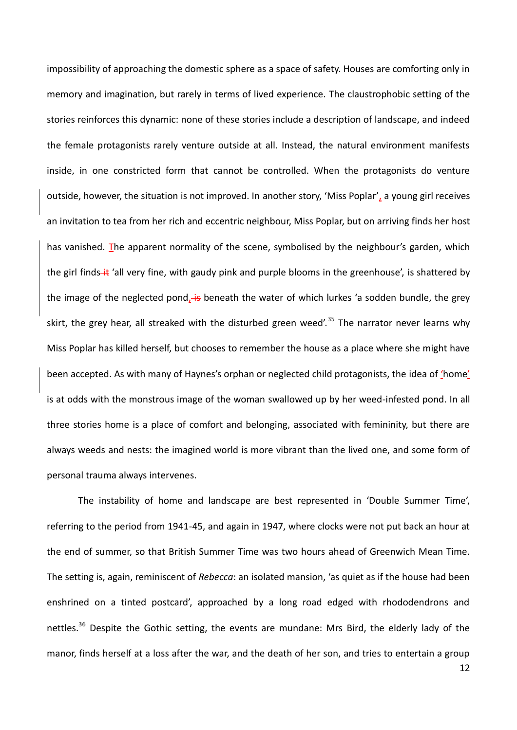impossibility of approaching the domestic sphere as a space of safety. Houses are comforting only in memory and imagination, but rarely in terms of lived experience. The claustrophobic setting of the stories reinforces this dynamic: none of these stories include a description of landscape, and indeed the female protagonists rarely venture outside at all. Instead, the natural environment manifests inside, in one constricted form that cannot be controlled. When the protagonists do venture outside, however, the situation is not improved. In another story, 'Miss Poplar', a young girl receives an invitation to tea from her rich and eccentric neighbour, Miss Poplar, but on arriving finds her host has vanished. The apparent normality of the scene, symbolised by the neighbour's garden, which the girl finds-it 'all very fine, with gaudy pink and purple blooms in the greenhouse', is shattered by the image of the neglected pond<sub>l</sub> is beneath the water of which lurkes 'a sodden bundle, the grey skirt, the grey hear, all streaked with the disturbed green weed'.<sup>35</sup> The narrator never learns why Miss Poplar has killed herself, but chooses to remember the house as a place where she might have been accepted. As with many of Haynes's orphan or neglected child protagonists, the idea of 'home' is at odds with the monstrous image of the woman swallowed up by her weed-infested pond. In all three stories home is a place of comfort and belonging, associated with femininity, but there are always weeds and nests: the imagined world is more vibrant than the lived one, and some form of personal trauma always intervenes.

The instability of home and landscape are best represented in 'Double Summer Time', referring to the period from 1941-45, and again in 1947, where clocks were not put back an hour at the end of summer, so that British Summer Time was two hours ahead of Greenwich Mean Time. The setting is, again, reminiscent of *Rebecca*: an isolated mansion, 'as quiet as if the house had been enshrined on a tinted postcard', approached by a long road edged with rhododendrons and nettles.<sup>36</sup> Despite the Gothic setting, the events are mundane: Mrs Bird, the elderly lady of the manor, finds herself at a loss after the war, and the death of her son, and tries to entertain a group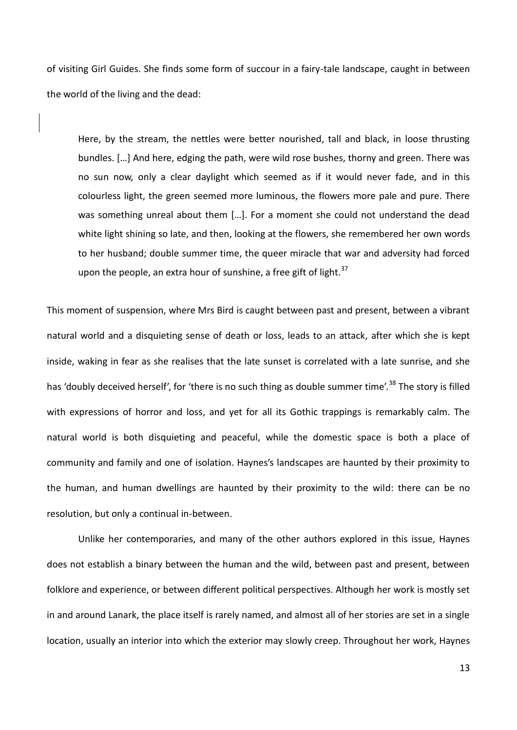of visiting Girl Guides. She finds some form of succour in a fairy-tale landscape, caught in between the world of the living and the dead:

Here, by the stream, the nettles were better nourished, tall and black, in loose thrusting bundles. […] And here, edging the path, were wild rose bushes, thorny and green. There was no sun now, only a clear daylight which seemed as if it would never fade, and in this colourless light, the green seemed more luminous, the flowers more pale and pure. There was something unreal about them […]. For a moment she could not understand the dead white light shining so late, and then, looking at the flowers, she remembered her own words to her husband; double summer time, the queer miracle that war and adversity had forced upon the people, an extra hour of sunshine, a free gift of light. $37$ 

This moment of suspension, where Mrs Bird is caught between past and present, between a vibrant natural world and a disquieting sense of death or loss, leads to an attack, after which she is kept inside, waking in fear as she realises that the late sunset is correlated with a late sunrise, and she has 'doubly deceived herself', for 'there is no such thing as double summer time'.<sup>38</sup> The story is filled with expressions of horror and loss, and yet for all its Gothic trappings is remarkably calm. The natural world is both disquieting and peaceful, while the domestic space is both a place of community and family and one of isolation. Haynes's landscapes are haunted by their proximity to the human, and human dwellings are haunted by their proximity to the wild: there can be no resolution, but only a continual in-between.

Unlike her contemporaries, and many of the other authors explored in this issue, Haynes does not establish a binary between the human and the wild, between past and present, between folklore and experience, or between different political perspectives. Although her work is mostly set in and around Lanark, the place itself is rarely named, and almost all of her stories are set in a single location, usually an interior into which the exterior may slowly creep. Throughout her work, Haynes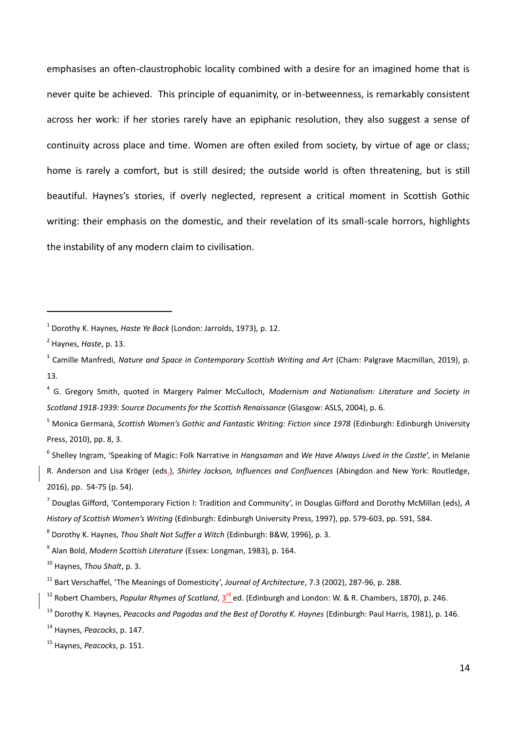emphasises an often-claustrophobic locality combined with a desire for an imagined home that is never quite be achieved. This principle of equanimity, or in-betweenness, is remarkably consistent across her work: if her stories rarely have an epiphanic resolution, they also suggest a sense of continuity across place and time. Women are often exiled from society, by virtue of age or class; home is rarely a comfort, but is still desired; the outside world is often threatening, but is still beautiful. Haynes's stories, if overly neglected, represent a critical moment in Scottish Gothic writing: their emphasis on the domestic, and their revelation of its small-scale horrors, highlights the instability of any modern claim to civilisation.

-

<sup>1</sup> Dorothy K. Haynes, *Haste Ye Back* (London: Jarrolds, 1973), p. 12.

<sup>2</sup> Haynes, *Haste*, p. 13.

<sup>&</sup>lt;sup>3</sup> Camille Manfredi, Nature and Space in Contemporary Scottish Writing and Art (Cham: Palgrave Macmillan, 2019), p. 13.

<sup>4</sup> G. Gregory Smith, quoted in Margery Palmer McCulloch, *Modernism and Nationalism: Literature and Society in Scotland 1918-1939: Source Documents for the Scottish Renaissance* (Glasgow: ASLS, 2004), p. 6.

<sup>5</sup> Monica Germanà, *Scottish Women's Gothic and Fantastic Writing: Fiction since 1978* (Edinburgh: Edinburgh University Press, 2010), pp. 8, 3.

<sup>6</sup> Shelley Ingram, 'Speaking of Magic: Folk Narrative in *Hangsaman* and *We Have Always Lived in the Castle*', in Melanie R. Anderson and Lisa Kröger (eds.), *Shirley Jackson, Influences and Confluences* (Abingdon and New York: Routledge, 2016), pp. 54-75 (p. 54).

<sup>7</sup> Douglas Gifford, 'Contemporary Fiction I: Tradition and Community', in Douglas Gifford and Dorothy McMillan (eds), *A History of Scottish Women's Writing* (Edinburgh: Edinburgh University Press, 1997), pp. 579-603, pp. 591, 584.

<sup>8</sup> Dorothy K. Haynes, *Thou Shalt Not Suffer a Witch* (Edinburgh: B&W, 1996), p. 3.

<sup>9</sup> Alan Bold, *Modern Scottish Literature* (Essex: Longman, 1983), p. 164.

<sup>10</sup> Haynes, *Thou Shalt*, p. 3.

<sup>11</sup> Bart Verschaffel, 'The Meanings of Domesticity', *Journal of Architecture*, 7.3 (2002), 287-96, p. 288.

<sup>&</sup>lt;sup>12</sup> Robert Chambers, Popular Rhymes of Scotland, 3<sup>rd</sup> ed. (Edinburgh and London: W. & R. Chambers, 1870), p. 246.

<sup>13</sup> Dorothy K. Haynes, *Peacocks and Pagodas and the Best of Dorothy K. Haynes* (Edinburgh: Paul Harris, 1981), p. 146.

<sup>14</sup> Haynes, *Peacocks*, p. 147.

<sup>15</sup> Haynes, *Peacocks*, p. 151.